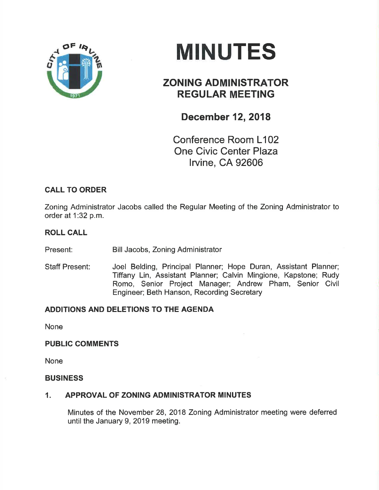

# **MINUTES**

# ZONING ADMINISTRATOR REGULAR MEETING

# December 12, 2018

Conference Room L102 One Civic Center Plaza lrvine, CA 92606

# CALL TO ORDER

Zoning Administrator Jacobs called the Regular Meeting of the Zoning Administrator to order at 1:32 p.m.

## ROLL CALL

Present: Bill Jacobs, Zoning Administrator

Staff Present: Joel Belding, Principal Planner; Hope Duran, Assistant Planner; Tiffany Lin, Assistant Planner; Calvin Mingione, Kapstone; Rudy Romo, Senior Project Manager; Andrew Pham, Senior Civil Engineer; Beth Hanson, Recording Secretary

# ADDITIONS AND DELETIONS TO THE AGENDA

None

## PUBLIC COMMENTS

None

#### BUSINESS

## 1. APPROVAL OF ZONING ADMINISTRATOR MINUTES

Minutes of the November 28,2018 Zoning Administrator meeting were deferred until the January 9, 2019 meeting.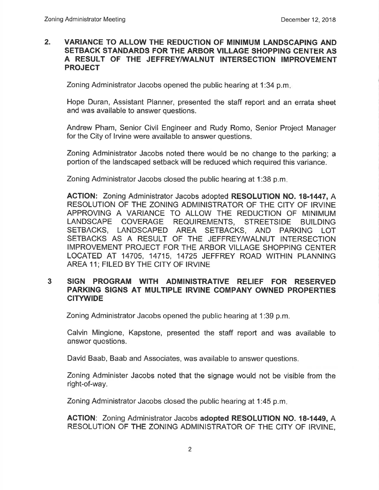#### 2. VARIANCE TO ALLOW THE REDUCTION OF MINIMUM LANDSCAPING AND SETBACK STANDARDS FOR THE ARBOR VILLAGE SHOPPING CENTER AS<br>A RESULT OF THE JEFFREY/WALNUT INTERSECTION IMPROVEMENT PROJECT

Zoning Administrator Jacobs opened the public hearing at 1:34 p.m

Hope Duran, Assistant Planner, presented the staff report and an errata sheet and was available to answer questions.

Andrew Pham, Senior Civil Engineer and Rudy Romo, Senior Project Manager for the City of lrvine were available to answer questions.

Zoning Administrator Jacobs noted there would be no change to the parking; a portion of the landscaped setback will be reduced which required this variance.

Zoning Administrator Jacobs closed the public hearing at 1:38 p.m

AGTION: Zoning Administrator Jacobs adopted RESOLUTION NO. 18-1447, A RESOLUTION OF THE ZONING ADMINISTRATOR OF THE CITY OF IRVINE APPROVING A VARIANCE TO ALLOW THE REDUCTION OF MINIMUM LANDSCAPE COVERAGE REQUIREMENTS, STREETSIDE BUILDING SETBACKS, LANDSCAPED AREA SETBACKS, AND PARKING LOT SETBACKS AS A RESULT OF THE JEFFREY/WALNUT INTERSECTION IMPROVEMENT PROJECT FOR THE ARBOR VILLAGE SHOPPING CENTER LOCATED AT 14705, 14715, 14725 JEFFREY ROAD WITHIN PLANNING AREA 11; FILED BY THE CITY OF IRVINE

#### <sup>3</sup> SIGN PROGRAM WITH ADMINISTRATIVE RELIEF FOR RESERVED PARKING SIGNS AT MULTIPLE IRVINE GOMPANY OWNED PROPERTIES CITYWIDE

Zoning Administrator Jacobs opened the public hearing at 1:39 p.m.

Calvin Mingione, Kapstone, presented the staff report and was available to answcr questions.

David Baab, Baab and Associates, was available to answer questions.

Zoning Administer Jacobs noted that the signage would not be visible from the right-of-way.

Zoning Administrator Jacobs closed the public hearing at 1:45 p.m

ACTION: Zoning Administrator Jacobs adopted RESOLUTION NO. 18-1449, A RESOLUTION OF THE ZONING ADMINISTRATOR OF THE CITY OF ¡RVINE,